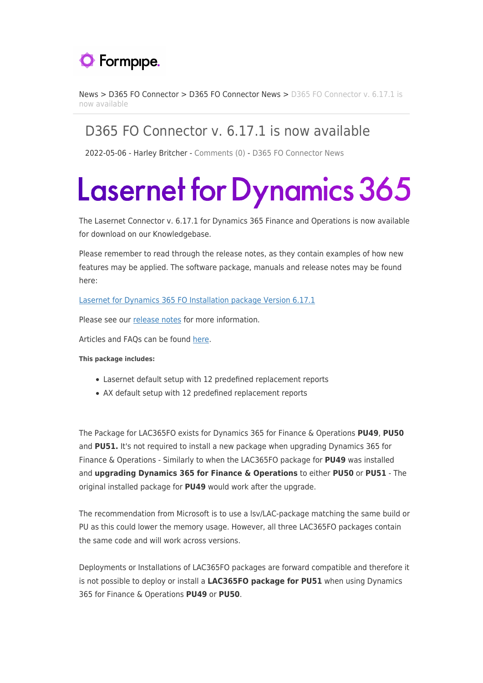

[News](https://support.formpipe.com/news) > [D365 FO Connector](https://support.formpipe.com/news/d365-fo-connector) > [D365 FO Connector News](https://support.formpipe.com/news/d365-fo-connector-news) > [D365 FO Connector v. 6.17.1 is](https://support.formpipe.com/news/posts/d365-fo-connector-v-6-17-1-is-now-available) [now available](https://support.formpipe.com/news/posts/d365-fo-connector-v-6-17-1-is-now-available)

## D365 FO Connector v. 6.17.1 is now available

2022-05-06 - Harley Britcher - [Comments \(0\)](#page--1-0) - [D365 FO Connector News](https://support.formpipe.com/news/d365-fo-connector-news)

## **Lasernet for Dynamics 365**

The Lasernet Connector v. 6.17.1 for Dynamics 365 Finance and Operations is now available for download on our Knowledgebase.

Please remember to read through the release notes, as they contain examples of how new features may be applied. The software package, manuals and release notes may be found here:

[Lasernet for Dynamics 365 FO Installation package Version 6.17.1](https://kb.lasernet.formpipe.com/article/AA-00876)

Please see our [release notes](https://support.formpipe.com/news/posts/d365-fo-connector-6-17-1-release-notes) for more information.

Articles and FAQs can be found [here.](https://support.formpipe.com/kb/d365-fo-connector)

## **This package includes:**

- Lasernet default setup with 12 predefined replacement reports
- AX default setup with 12 predefined replacement reports

The Package for LAC365FO exists for Dynamics 365 for Finance & Operations **PU49**, **PU50** and **PU51.** It's not required to install a new package when upgrading Dynamics 365 for Finance & Operations - Similarly to when the LAC365FO package for **PU49** was installed and **upgrading Dynamics 365 for Finance & Operations** to either **PU50** or **PU51** - The original installed package for **PU49** would work after the upgrade.

The recommendation from Microsoft is to use a lsv/LAC-package matching the same build or PU as this could lower the memory usage. However, all three LAC365FO packages contain the same code and will work across versions.

Deployments or Installations of LAC365FO packages are forward compatible and therefore it is not possible to deploy or install a **LAC365FO package for PU51** when using Dynamics 365 for Finance & Operations **PU49** or **PU50**.